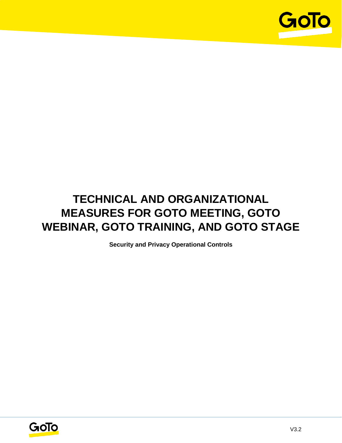

# **TECHNICAL AND ORGANIZATIONAL MEASURES FOR GOTO MEETING, GOTO WEBINAR, GOTO TRAINING, AND GOTO STAGE**

**Security and Privacy Operational Controls**

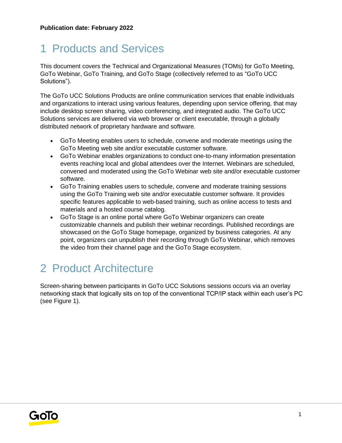# 1 Products and Services

This document covers the Technical and Organizational Measures (TOMs) for GoTo Meeting, GoTo Webinar, GoTo Training, and GoTo Stage (collectively referred to as "GoTo UCC Solutions").

The GoTo UCC Solutions Products are online communication services that enable individuals and organizations to interact using various features, depending upon service offering, that may include desktop screen sharing, video conferencing, and integrated audio. The GoTo UCC Solutions services are delivered via web browser or client executable, through a globally distributed network of proprietary hardware and software.

- GoTo Meeting enables users to schedule, convene and moderate meetings using the GoTo Meeting web site and/or executable customer software.
- GoTo Webinar enables organizations to conduct one-to-many information presentation events reaching local and global attendees over the Internet. Webinars are scheduled, convened and moderated using the GoTo Webinar web site and/or executable customer software.
- GoTo Training enables users to schedule, convene and moderate training sessions using the GoTo Training web site and/or executable customer software. It provides specific features applicable to web-based training, such as online access to tests and materials and a hosted course catalog.
- GoTo Stage is an online portal where GoTo Webinar organizers can create customizable channels and publish their webinar recordings. Published recordings are showcased on the GoTo Stage homepage, organized by business categories. At any point, organizers can unpublish their recording through GoTo Webinar, which removes the video from their channel page and the GoTo Stage ecosystem.

# 2 Product Architecture

Screen-sharing between participants in GoTo UCC Solutions sessions occurs via an overlay networking stack that logically sits on top of the conventional TCP/IP stack within each user's PC (see Figure 1).

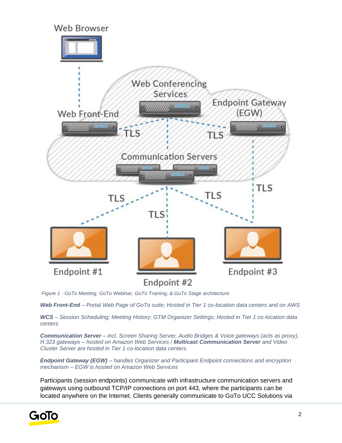

*Figure 1 - GoTo Meeting, GoTo Webinar, GoTo Training, & GoTo Stage architecture.*

*Web Front-End – Portal Web Page of GoTo suite; Hosted in Tier 1 co-location data centers and on AWS*

*WCS – Session Scheduling; Meeting History; GTM Organizer Settings; Hosted in Tier 1 co-location data centers*

*Communication Server – incl. Screen Sharing Server, Audio Bridges & Voice gateways (acts as proxy), H.323 gateways – hosted on Amazon Web Services / Multicast Communication Server and Video Cluster Server are hosted in Tier 1 co-location data centers*

*Endpoint Gateway (EGW) – handles Organizer and Participant Endpoint connections and encryption mechanism – EGW is hosted on Amazon Web Services* 

Participants (session endpoints) communicate with infrastructure communication servers and gateways using outbound TCP/IP connections on port 443, where the participants can be located anywhere on the Internet. Clients generally communicate to GoTo UCC Solutions via

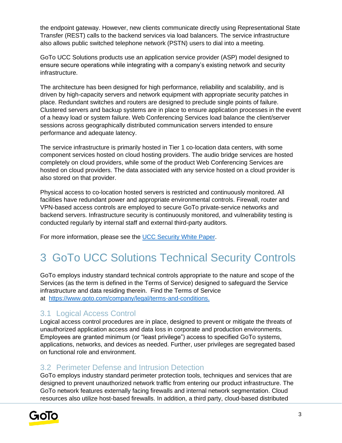the endpoint gateway. However, new clients communicate directly using Representational State Transfer (REST) calls to the backend services via load balancers. The service infrastructure also allows public switched telephone network (PSTN) users to dial into a meeting.

GoTo UCC Solutions products use an application service provider (ASP) model designed to ensure secure operations while integrating with a company's existing network and security infrastructure.

The architecture has been designed for high performance, reliability and scalability, and is driven by high-capacity servers and network equipment with appropriate security patches in place. Redundant switches and routers are designed to preclude single points of failure. Clustered servers and backup systems are in place to ensure application processes in the event of a heavy load or system failure. Web Conferencing Services load balance the client/server sessions across geographically distributed communication servers intended to ensure performance and adequate latency.

The service infrastructure is primarily hosted in Tier 1 co-location data centers, with some component services hosted on cloud hosting providers. The audio bridge services are hosted completely on cloud providers, while some of the product Web Conferencing Services are hosted on cloud providers. The data associated with any service hosted on a cloud provider is also stored on that provider.

Physical access to co-location hosted servers is restricted and continuously monitored. All facilities have redundant power and appropriate environmental controls. Firewall, router and VPN-based access controls are employed to secure GoTo private-service networks and backend servers. Infrastructure security is continuously monitored, and vulnerability testing is conducted regularly by internal staff and external third-party auditors.

For more information, please see the [UCC Security White Paper.](https://www.goto.com/-/media/92e141989a8b4562bab6a5efc469aeeb.pdf)

# 3 GoTo UCC Solutions Technical Security Controls

GoTo employs industry standard technical controls appropriate to the nature and scope of the Services (as the term is defined in the Terms of Service) designed to safeguard the Service infrastructure and data residing therein. Find the Terms of Service at [https://www.goto.com/company/legal/terms-and-conditions.](https://www.goto.com/company/legal/terms-and-conditions)

## 3.1 Logical Access Control

Logical access control procedures are in place, designed to prevent or mitigate the threats of unauthorized application access and data loss in corporate and production environments. Employees are granted minimum (or "least privilege") access to specified GoTo systems, applications, networks, and devices as needed. Further, user privileges are segregated based on functional role and environment.

## 3.2 Perimeter Defense and Intrusion Detection

GoTo employs industry standard perimeter protection tools, techniques and services that are designed to prevent unauthorized network traffic from entering our product infrastructure. The GoTo network features externally facing firewalls and internal network segmentation. Cloud resources also utilize host-based firewalls. In addition, a third party, cloud-based distributed

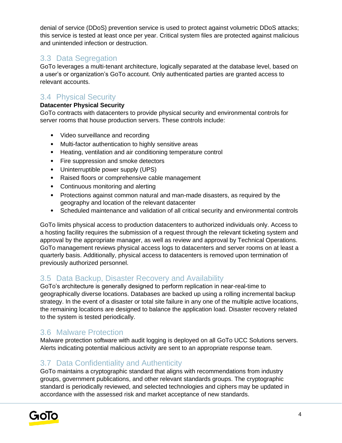denial of service (DDoS) prevention service is used to protect against volumetric DDoS attacks; this service is tested at least once per year. Critical system files are protected against malicious and unintended infection or destruction.

# 3.3 Data Segregation

GoTo leverages a multi-tenant architecture, logically separated at the database level, based on a user's or organization's GoTo account. Only authenticated parties are granted access to relevant accounts.

# 3.4 Physical Security

### **Datacenter Physical Security**

GoTo contracts with datacenters to provide physical security and environmental controls for server rooms that house production servers. These controls include:

- Video surveillance and recording
- Multi-factor authentication to highly sensitive areas
- Heating, ventilation and air conditioning temperature control
- Fire suppression and smoke detectors
- Uninterruptible power supply (UPS)
- Raised floors or comprehensive cable management
- Continuous monitoring and alerting
- Protections against common natural and man-made disasters, as required by the geography and location of the relevant datacenter
- Scheduled maintenance and validation of all critical security and environmental controls

GoTo limits physical access to production datacenters to authorized individuals only. Access to a hosting facility requires the submission of a request through the relevant ticketing system and approval by the appropriate manager, as well as review and approval by Technical Operations. GoTo management reviews physical access logs to datacenters and server rooms on at least a quarterly basis. Additionally, physical access to datacenters is removed upon termination of previously authorized personnel.

## 3.5 Data Backup, Disaster Recovery and Availability

GoTo's architecture is generally designed to perform replication in near-real-time to geographically diverse locations. Databases are backed up using a rolling incremental backup strategy. In the event of a disaster or total site failure in any one of the multiple active locations, the remaining locations are designed to balance the application load. Disaster recovery related to the system is tested periodically.

## 3.6 Malware Protection

Malware protection software with audit logging is deployed on all GoTo UCC Solutions servers. Alerts indicating potential malicious activity are sent to an appropriate response team.

## 3.7 Data Confidentiality and Authenticity

GoTo maintains a cryptographic standard that aligns with recommendations from industry groups, government publications, and other relevant standards groups. The cryptographic standard is periodically reviewed, and selected technologies and ciphers may be updated in accordance with the assessed risk and market acceptance of new standards.

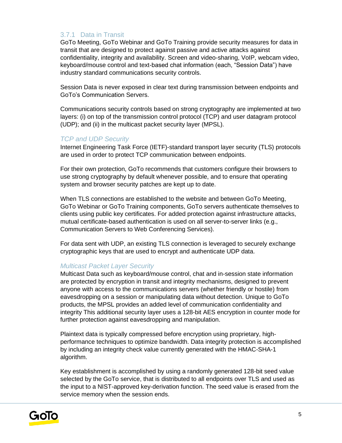### 3.7.1 Data in Transit

GoTo Meeting, GoTo Webinar and GoTo Training provide security measures for data in transit that are designed to protect against passive and active attacks against confidentiality, integrity and availability. Screen and video-sharing, VoIP, webcam video, keyboard/mouse control and text-based chat information (each, "Session Data") have industry standard communications security controls.

Session Data is never exposed in clear text during transmission between endpoints and GoTo's Communication Servers.

Communications security controls based on strong cryptography are implemented at two layers: (i) on top of the transmission control protocol (TCP) and user datagram protocol (UDP); and (ii) in the multicast packet security layer (MPSL).

#### *TCP and UDP Security*

Internet Engineering Task Force (IETF)-standard transport layer security (TLS) protocols are used in order to protect TCP communication between endpoints.

For their own protection, GoTo recommends that customers configure their browsers to use strong cryptography by default whenever possible, and to ensure that operating system and browser security patches are kept up to date.

When TLS connections are established to the website and between GoTo Meeting, GoTo Webinar or GoTo Training components, GoTo servers authenticate themselves to clients using public key certificates. For added protection against infrastructure attacks, mutual certificate-based authentication is used on all server-to-server links (e.g., Communication Servers to Web Conferencing Services).

For data sent with UDP, an existing TLS connection is leveraged to securely exchange cryptographic keys that are used to encrypt and authenticate UDP data.

### *Multicast Packet Layer Security*

Multicast Data such as keyboard/mouse control, chat and in-session state information are protected by encryption in transit and integrity mechanisms, designed to prevent anyone with access to the communications servers (whether friendly or hostile) from eavesdropping on a session or manipulating data without detection. Unique to GoTo products, the MPSL provides an added level of communication confidentiality and integrity This additional security layer uses a 128-bit AES encryption in counter mode for further protection against eavesdropping and manipulation.

Plaintext data is typically compressed before encryption using proprietary, highperformance techniques to optimize bandwidth. Data integrity protection is accomplished by including an integrity check value currently generated with the HMAC-SHA-1 algorithm.

Key establishment is accomplished by using a randomly generated 128-bit seed value selected by the GoTo service, that is distributed to all endpoints over TLS and used as the input to a NIST-approved key-derivation function. The seed value is erased from the service memory when the session ends.

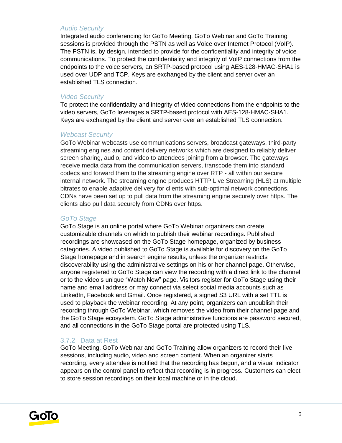#### *Audio Security*

Integrated audio conferencing for GoTo Meeting, GoTo Webinar and GoTo Training sessions is provided through the PSTN as well as Voice over Internet Protocol (VoIP). The PSTN is, by design, intended to provide for the confidentiality and integrity of voice communications. To protect the confidentiality and integrity of VoIP connections from the endpoints to the voice servers, an SRTP-based protocol using AES-128-HMAC-SHA1 is used over UDP and TCP. Keys are exchanged by the client and server over an established TLS connection.

#### *Video Security*

To protect the confidentiality and integrity of video connections from the endpoints to the video servers, GoTo leverages a SRTP-based protocol with AES-128-HMAC-SHA1. Keys are exchanged by the client and server over an established TLS connection.

#### *Webcast Security*

GoTo Webinar webcasts use communications servers, broadcast gateways, third-party streaming engines and content delivery networks which are designed to reliably deliver screen sharing, audio, and video to attendees joining from a browser. The gateways receive media data from the communication servers, transcode them into standard codecs and forward them to the streaming engine over RTP - all within our secure internal network. The streaming engine produces HTTP Live Streaming (HLS) at multiple bitrates to enable adaptive delivery for clients with sub-optimal network connections. CDNs have been set up to pull data from the streaming engine securely over https. The clients also pull data securely from CDNs over https.

#### *GoTo Stage*

GoTo Stage is an online portal where GoTo Webinar organizers can create customizable channels on which to publish their webinar recordings. Published recordings are showcased on the GoTo Stage homepage, organized by business categories. A video published to GoTo Stage is available for discovery on the GoTo Stage homepage and in search engine results, unless the organizer restricts discoverability using the administrative settings on his or her channel page. Otherwise, anyone registered to GoTo Stage can view the recording with a direct link to the channel or to the video's unique "Watch Now" page. Visitors register for GoTo Stage using their name and email address or may connect via select social media accounts such as LinkedIn, Facebook and Gmail. Once registered, a signed S3 URL with a set TTL is used to playback the webinar recording. At any point, organizers can unpublish their recording through GoTo Webinar, which removes the video from their channel page and the GoTo Stage ecosystem. GoTo Stage administrative functions are password secured, and all connections in the GoTo Stage portal are protected using TLS.

#### 3.7.2 Data at Rest

GoTo Meeting, GoTo Webinar and GoTo Training allow organizers to record their live sessions, including audio, video and screen content. When an organizer starts recording, every attendee is notified that the recording has begun, and a visual indicator appears on the control panel to reflect that recording is in progress. Customers can elect to store session recordings on their local machine or in the cloud.

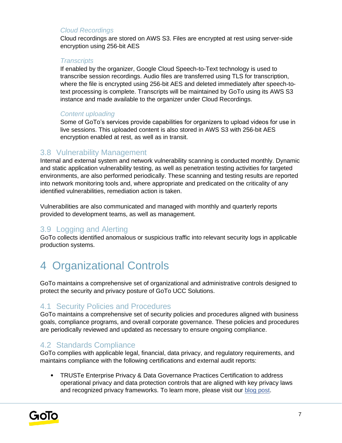### *Cloud Recordings*

Cloud recordings are stored on AWS S3. Files are encrypted at rest using server-side encryption using 256-bit AES

#### *Transcripts*

If enabled by the organizer, Google Cloud Speech-to-Text technology is used to transcribe session recordings. Audio files are transferred using TLS for transcription, where the file is encrypted using 256-bit AES and deleted immediately after speech-totext processing is complete. Transcripts will be maintained by GoTo using its AWS S3 instance and made available to the organizer under Cloud Recordings.

### *Content uploading*

Some of GoTo's services provide capabilities for organizers to upload videos for use in live sessions. This uploaded content is also stored in AWS S3 with 256-bit AES encryption enabled at rest, as well as in transit.

## 3.8 Vulnerability Management

Internal and external system and network vulnerability scanning is conducted monthly. Dynamic and static application vulnerability testing, as well as penetration testing activities for targeted environments, are also performed periodically. These scanning and testing results are reported into network monitoring tools and, where appropriate and predicated on the criticality of any identified vulnerabilities, remediation action is taken.

Vulnerabilities are also communicated and managed with monthly and quarterly reports provided to development teams, as well as management.

## 3.9 Logging and Alerting

GoTo collects identified anomalous or suspicious traffic into relevant security logs in applicable production systems.

# 4 Organizational Controls

GoTo maintains a comprehensive set of organizational and administrative controls designed to protect the security and privacy posture of GoTo UCC Solutions.

## 4.1 Security Policies and Procedures

GoTo maintains a comprehensive set of security policies and procedures aligned with business goals, compliance programs, and overall corporate governance. These policies and procedures are periodically reviewed and updated as necessary to ensure ongoing compliance.

## 4.2 Standards Compliance

GoTo complies with applicable legal, financial, data privacy, and regulatory requirements, and maintains compliance with the following certifications and external audit reports:

• TRUSTe Enterprise Privacy & Data Governance Practices Certification to address operational privacy and data protection controls that are aligned with key privacy laws and recognized privacy frameworks. To learn more, please visit ou[r](https://blog.logmeininc.com/logmein-furthers-commitment-to-data-privacy-with-truste-enterprise-privacy-certification-seal/?lang=en) [blog post](https://www.goto.com/blog/logmein-furthers-commitment-to-data-privacy-with-truste-enterprise-privacy-certification-seal)[.](https://blog.logmeininc.com/logmein-furthers-commitment-to-data-privacy-with-truste-enterprise-privacy-certification-seal/?lang=en)

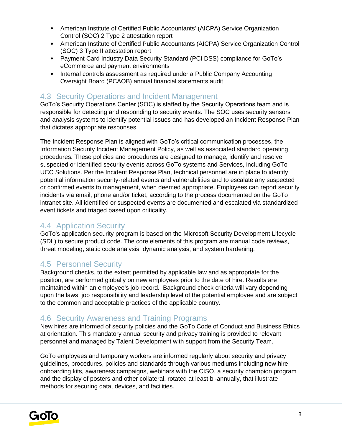- American Institute of Certified Public Accountants' (AICPA) Service Organization Control (SOC) 2 Type 2 attestation report
- American Institute of Certified Public Accountants (AICPA) Service Organization Control (SOC) 3 Type II attestation report
- Payment Card Industry Data Security Standard (PCI DSS) compliance for GoTo's eCommerce and payment environments
- Internal controls assessment as required under a Public Company Accounting Oversight Board (PCAOB) annual financial statements audit

# 4.3 Security Operations and Incident Management

GoTo's Security Operations Center (SOC) is staffed by the Security Operations team and is responsible for detecting and responding to security events. The SOC uses security sensors and analysis systems to identify potential issues and has developed an Incident Response Plan that dictates appropriate responses.

The Incident Response Plan is aligned with GoTo's critical communication processes, the Information Security Incident Management Policy, as well as associated standard operating procedures. These policies and procedures are designed to manage, identify and resolve suspected or identified security events across GoTo systems and Services, including GoTo UCC Solutions. Per the Incident Response Plan, technical personnel are in place to identify potential information security-related events and vulnerabilities and to escalate any suspected or confirmed events to management, when deemed appropriate. Employees can report security incidents via email, phone and/or ticket, according to the process documented on the GoTo intranet site. All identified or suspected events are documented and escalated via standardized event tickets and triaged based upon criticality.

# 4.4 Application Security

GoTo's application security program is based on the Microsoft Security Development Lifecycle (SDL) to secure product code. The core elements of this program are manual code reviews, threat modeling, static code analysis, dynamic analysis, and system hardening.

## 4.5 Personnel Security

Background checks, to the extent permitted by applicable law and as appropriate for the position, are performed globally on new employees prior to the date of hire. Results are maintained within an employee's job record. Background check criteria will vary depending upon the laws, job responsibility and leadership level of the potential employee and are subject to the common and acceptable practices of the applicable country.

# 4.6 Security Awareness and Training Programs

New hires are informed of security policies and the GoTo Code of Conduct and Business Ethics at orientation. This mandatory annual security and privacy training is provided to relevant personnel and managed by Talent Development with support from the Security Team.

GoTo employees and temporary workers are informed regularly about security and privacy guidelines, procedures, policies and standards through various mediums including new hire onboarding kits, awareness campaigns, webinars with the CISO, a security champion program and the display of posters and other collateral, rotated at least bi-annually, that illustrate methods for securing data, devices, and facilities.

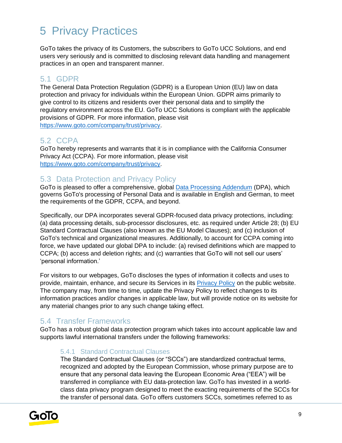# 5 Privacy Practices

GoTo takes the privacy of its Customers, the subscribers to GoTo UCC Solutions, and end users very seriously and is committed to disclosing relevant data handling and management practices in an open and transparent manner.

# 5.1 GDPR

The General Data Protection Regulation (GDPR) is a European Union (EU) law on data protection and privacy for individuals within the European Union. GDPR aims primarily to give control to its citizens and residents over their personal data and to simplify the regulatory environment across the EU. GoTo UCC Solutions is compliant with the applicable provisions of GDPR. For more information, please visit [https://www.goto.com/company/trust/privacy.](https://www.goto.com/company/trust/privacy)

# 5.2 CCPA

GoTo hereby represents and warrants that it is in compliance with the California Consumer Privacy Act (CCPA). For more information, please visit [https://www.goto.com/company/trust/privacy.](https://www.goto.com/company/trust/privacy)

# 5.3 Data Protection and Privacy Policy

GoTo is pleased to offer a comprehensive, global [Data Processing Addendum](https://www.goto.com/company/legal) (DPA), which governs GoTo's processing of Personal Data and is available in English and German, to meet the requirements of the GDPR, CCPA, and beyond.

Specifically, our DPA incorporates several GDPR-focused data privacy protections, including: (a) data processing details, sub-processor disclosures, etc. as required under Article 28; (b) EU Standard Contractual Clauses (also known as the EU Model Clauses); and (c) inclusion of GoTo's technical and organizational measures. Additionally, to account for CCPA coming into force, we have updated our global DPA to include: (a) revised definitions which are mapped to CCPA; (b) access and deletion rights; and (c) warranties that GoTo will not sell our users' 'personal information.'

For visitors to our webpages, GoTo discloses the types of information it collects and uses to provide, maintain, enhance, and secure its Services in its [Privacy Policy](https://www.goto.com/company/legal/privacy) on the public website. The company may, from time to time, update the Privacy Policy to reflect changes to its information practices and/or changes in applicable law, but will provide notice on its website for any material changes prior to any such change taking effect.

# 5.4 Transfer Frameworks

GoTo has a robust global data protection program which takes into account applicable law and supports lawful international transfers under the following frameworks:

### 5.4.1 Standard Contractual Clauses

The Standard Contractual Clauses (or "SCCs") are standardized contractual terms, recognized and adopted by the European Commission, whose primary purpose are to ensure that any personal data leaving the European Economic Area ("EEA") will be transferred in compliance with EU data-protection law. GoTo has invested in a worldclass data privacy program designed to meet the exacting requirements of the SCCs for the transfer of personal data. GoTo offers customers SCCs, sometimes referred to as

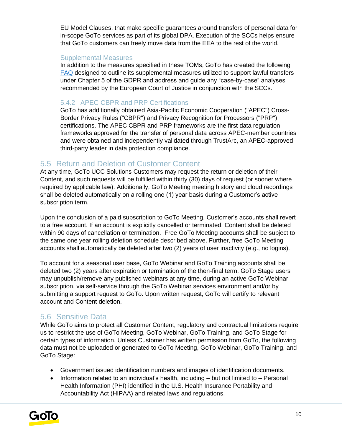EU Model Clauses, that make specific guarantees around transfers of personal data for in-scope GoTo services as part of its global DPA. Execution of the SCCs helps ensure that GoTo customers can freely move data from the EEA to the rest of the world.

#### Supplemental Measures

In addition to the measures specified in these TOMs, GoTo has created the following [FAQ](https://logmeincdn.azureedge.net/legal/international-data-transfers-faq.pdf) designed to outline its supplemental measures utilized to support lawful transfers under Chapter 5 of the GDPR and address and guide any "case-by-case" analyses recommended by the European Court of Justice in conjunction with the SCCs.

### 5.4.2 APEC CBPR and PRP Certifications

GoTo has additionally obtained Asia-Pacific Economic Cooperation ("APEC") Cross-Border Privacy Rules ("CBPR") and Privacy Recognition for Processors ("PRP") certifications. The APEC CBPR and PRP frameworks are the first data regulation frameworks approved for the transfer of personal data across APEC-member countries and were obtained and independently validated through TrustArc, an APEC-approved third-party leader in data protection compliance.

## 5.5 Return and Deletion of Customer Content

At any time, GoTo UCC Solutions Customers may request the return or deletion of their Content, and such requests will be fulfilled within thirty (30) days of request (or sooner where required by applicable law). Additionally, GoTo Meeting meeting history and cloud recordings shall be deleted automatically on a rolling one (1) year basis during a Customer's active subscription term.

Upon the conclusion of a paid subscription to GoTo Meeting, Customer's accounts shall revert to a free account. If an account is explicitly cancelled or terminated, Content shall be deleted within 90 days of cancellation or termination. Free GoTo Meeting accounts shall be subject to the same one year rolling deletion schedule described above. Further, free GoTo Meeting accounts shall automatically be deleted after two (2) years of user inactivity (e.g., no logins).

To account for a seasonal user base, GoTo Webinar and GoTo Training accounts shall be deleted two (2) years after expiration or termination of the then-final term. GoTo Stage users may unpublish/remove any published webinars at any time, during an active GoTo Webinar subscription, via self-service through the GoTo Webinar services environment and/or by submitting a support request to GoTo. Upon written request, GoTo will certify to relevant account and Content deletion.

## 5.6 Sensitive Data

While GoTo aims to protect all Customer Content, regulatory and contractual limitations require us to restrict the use of GoTo Meeting, GoTo Webinar, GoTo Training, and GoTo Stage for certain types of information. Unless Customer has written permission from GoTo, the following data must not be uploaded or generated to GoTo Meeting, GoTo Webinar, GoTo Training, and GoTo Stage:

- Government issued identification numbers and images of identification documents.
- Information related to an individual's health, including but not limited to Personal Health Information (PHI) identified in the U.S. Health Insurance Portability and Accountability Act (HIPAA) and related laws and regulations.